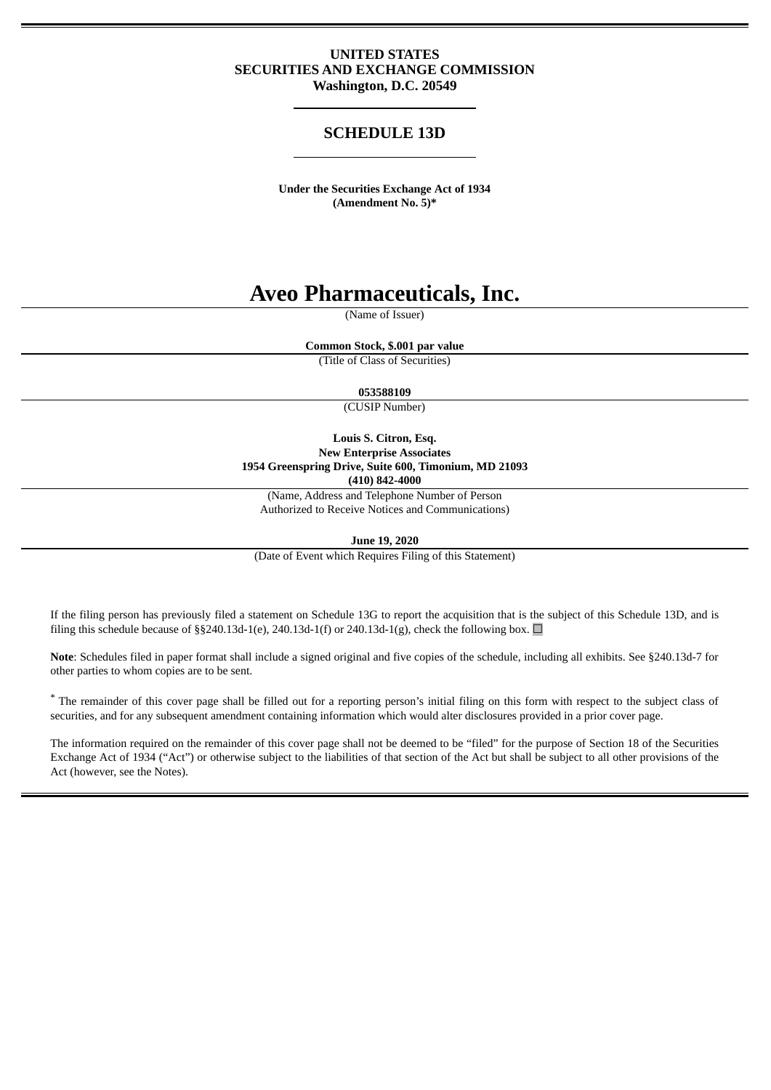# **UNITED STATES SECURITIES AND EXCHANGE COMMISSION Washington, D.C. 20549**

# **SCHEDULE 13D**

**Under the Securities Exchange Act of 1934 (Amendment No. 5)\***

# **Aveo Pharmaceuticals, Inc.**

(Name of Issuer)

**Common Stock, \$.001 par value**

(Title of Class of Securities)

#### **053588109**

(CUSIP Number)

**Louis S. Citron, Esq. New Enterprise Associates 1954 Greenspring Drive, Suite 600, Timonium, MD 21093 (410) 842-4000**

(Name, Address and Telephone Number of Person Authorized to Receive Notices and Communications)

**June 19, 2020**

(Date of Event which Requires Filing of this Statement)

If the filing person has previously filed a statement on Schedule 13G to report the acquisition that is the subject of this Schedule 13D, and is filing this schedule because of §§240.13d-1(e), 240.13d-1(f) or 240.13d-1(g), check the following box.  $\Box$ 

**Note**: Schedules filed in paper format shall include a signed original and five copies of the schedule, including all exhibits. See §240.13d-7 for other parties to whom copies are to be sent.

\* The remainder of this cover page shall be filled out for a reporting person's initial filing on this form with respect to the subject class of securities, and for any subsequent amendment containing information which would alter disclosures provided in a prior cover page.

The information required on the remainder of this cover page shall not be deemed to be "filed" for the purpose of Section 18 of the Securities Exchange Act of 1934 ("Act") or otherwise subject to the liabilities of that section of the Act but shall be subject to all other provisions of the Act (however, see the Notes).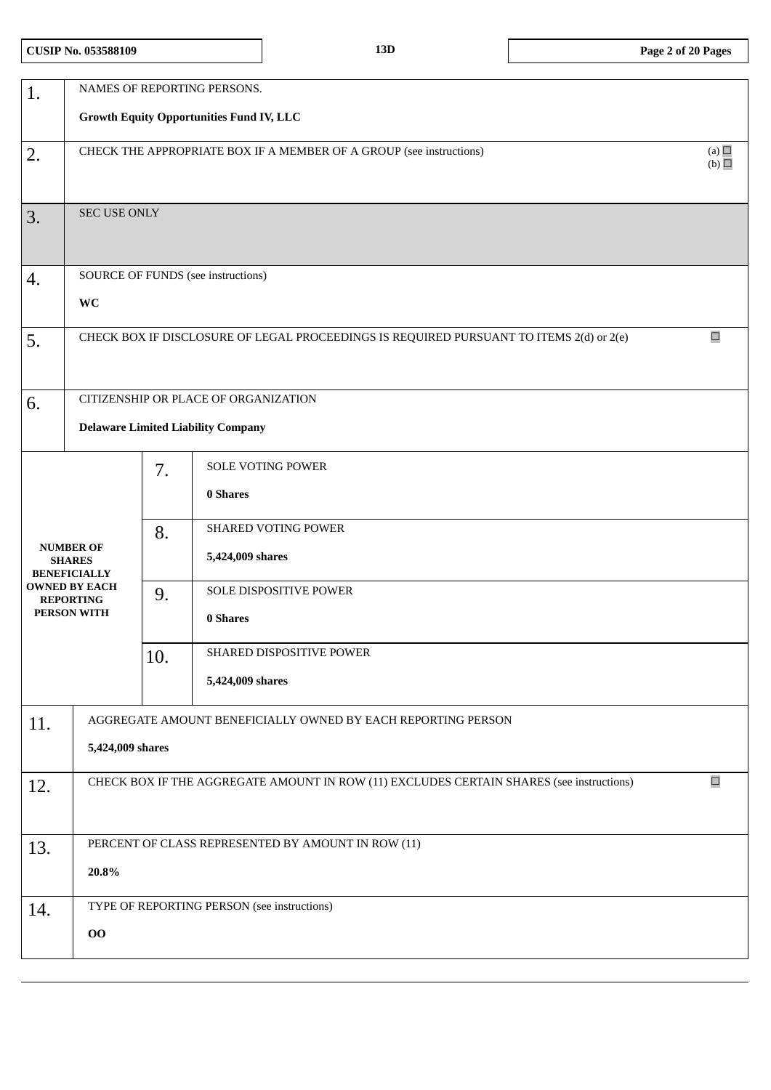| 1.  |                                                                            |     | NAMES OF REPORTING PERSONS.                                                              |        |  |  |
|-----|----------------------------------------------------------------------------|-----|------------------------------------------------------------------------------------------|--------|--|--|
|     |                                                                            |     | <b>Growth Equity Opportunities Fund IV, LLC</b>                                          |        |  |  |
| 2.  | (a)<br>CHECK THE APPROPRIATE BOX IF A MEMBER OF A GROUP (see instructions) |     |                                                                                          |        |  |  |
|     |                                                                            |     |                                                                                          |        |  |  |
| 3.  | SEC USE ONLY                                                               |     |                                                                                          |        |  |  |
|     |                                                                            |     |                                                                                          |        |  |  |
| 4.  |                                                                            |     | SOURCE OF FUNDS (see instructions)                                                       |        |  |  |
|     | WC                                                                         |     |                                                                                          |        |  |  |
| 5.  |                                                                            |     | CHECK BOX IF DISCLOSURE OF LEGAL PROCEEDINGS IS REQUIRED PURSUANT TO ITEMS 2(d) or 2(e)  | $\Box$ |  |  |
|     |                                                                            |     |                                                                                          |        |  |  |
| 6.  |                                                                            |     | CITIZENSHIP OR PLACE OF ORGANIZATION                                                     |        |  |  |
|     |                                                                            |     | <b>Delaware Limited Liability Company</b>                                                |        |  |  |
|     |                                                                            | 7.  | SOLE VOTING POWER                                                                        |        |  |  |
|     |                                                                            |     | 0 Shares                                                                                 |        |  |  |
|     |                                                                            | 8.  | SHARED VOTING POWER                                                                      |        |  |  |
|     | <b>NUMBER OF</b><br><b>SHARES</b><br><b>BENEFICIALLY</b>                   |     | 5,424,009 shares                                                                         |        |  |  |
|     | <b>OWNED BY EACH</b><br><b>REPORTING</b>                                   | 9.  | SOLE DISPOSITIVE POWER                                                                   |        |  |  |
|     | PERSON WITH                                                                |     | 0 Shares                                                                                 |        |  |  |
|     |                                                                            | 10. | SHARED DISPOSITIVE POWER                                                                 |        |  |  |
|     |                                                                            |     | 5,424,009 shares                                                                         |        |  |  |
| 11. |                                                                            |     | AGGREGATE AMOUNT BENEFICIALLY OWNED BY EACH REPORTING PERSON                             |        |  |  |
|     | 5,424,009 shares                                                           |     |                                                                                          |        |  |  |
| 12. |                                                                            |     | CHECK BOX IF THE AGGREGATE AMOUNT IN ROW (11) EXCLUDES CERTAIN SHARES (see instructions) | $\Box$ |  |  |
|     |                                                                            |     |                                                                                          |        |  |  |
| 13. |                                                                            |     | PERCENT OF CLASS REPRESENTED BY AMOUNT IN ROW (11)                                       |        |  |  |
|     | 20.8%                                                                      |     |                                                                                          |        |  |  |
| 14. |                                                                            |     | TYPE OF REPORTING PERSON (see instructions)                                              |        |  |  |
|     | 00                                                                         |     |                                                                                          |        |  |  |
|     |                                                                            |     |                                                                                          |        |  |  |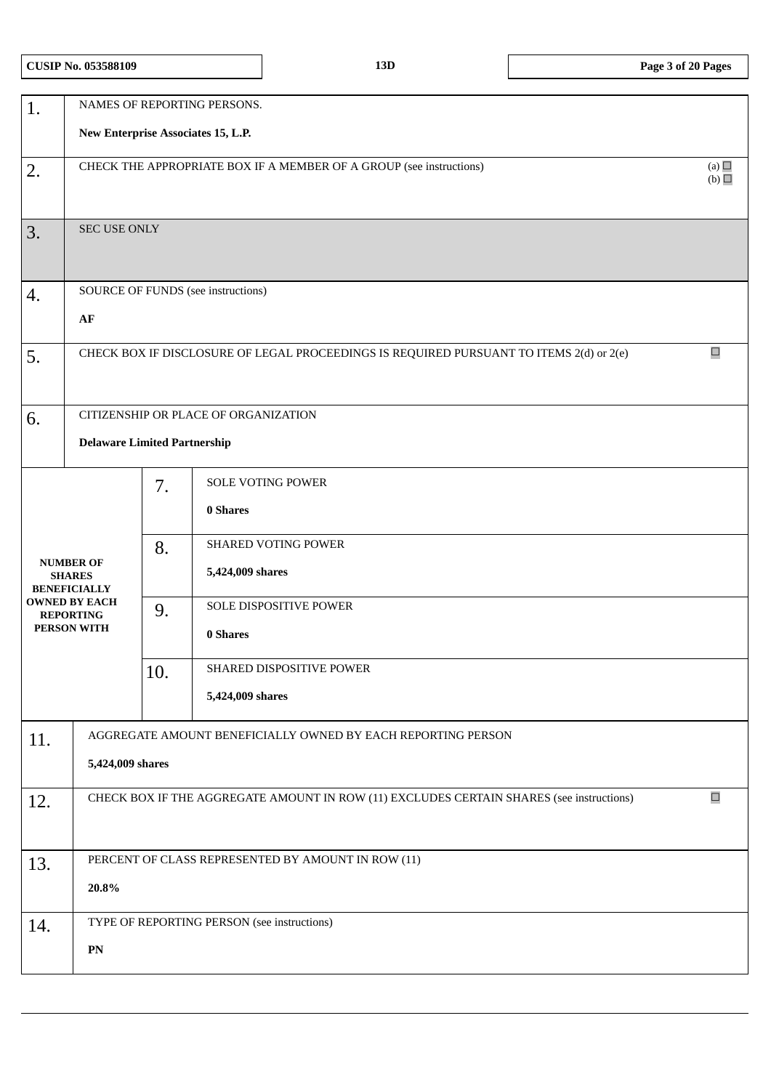|  |  | <b>CUSIP No. 053588109</b> |
|--|--|----------------------------|
|--|--|----------------------------|

| 1.                  |                                                                                          | NAMES OF REPORTING PERSONS.<br>New Enterprise Associates 15, L.P. |                                                                                          |        |  |  |
|---------------------|------------------------------------------------------------------------------------------|-------------------------------------------------------------------|------------------------------------------------------------------------------------------|--------|--|--|
|                     |                                                                                          |                                                                   |                                                                                          |        |  |  |
| 2.                  | (a) $\Box$<br>CHECK THE APPROPRIATE BOX IF A MEMBER OF A GROUP (see instructions)<br>(b) |                                                                   |                                                                                          |        |  |  |
| 3.                  | <b>SEC USE ONLY</b>                                                                      |                                                                   |                                                                                          |        |  |  |
| 4.                  |                                                                                          |                                                                   | SOURCE OF FUNDS (see instructions)                                                       |        |  |  |
|                     | AF                                                                                       |                                                                   |                                                                                          |        |  |  |
| 5.                  |                                                                                          |                                                                   | CHECK BOX IF DISCLOSURE OF LEGAL PROCEEDINGS IS REQUIRED PURSUANT TO ITEMS 2(d) or 2(e)  | $\Box$ |  |  |
| 6.                  |                                                                                          |                                                                   | CITIZENSHIP OR PLACE OF ORGANIZATION                                                     |        |  |  |
|                     | <b>Delaware Limited Partnership</b>                                                      |                                                                   |                                                                                          |        |  |  |
|                     |                                                                                          | 7.                                                                | SOLE VOTING POWER                                                                        |        |  |  |
|                     |                                                                                          |                                                                   | 0 Shares                                                                                 |        |  |  |
|                     |                                                                                          | 8.                                                                | <b>SHARED VOTING POWER</b>                                                               |        |  |  |
| <b>BENEFICIALLY</b> | <b>NUMBER OF</b><br><b>SHARES</b>                                                        |                                                                   | 5,424,009 shares                                                                         |        |  |  |
| <b>REPORTING</b>    | <b>OWNED BY EACH</b>                                                                     | 9.                                                                | SOLE DISPOSITIVE POWER                                                                   |        |  |  |
|                     | PERSON WITH                                                                              |                                                                   | 0 Shares                                                                                 |        |  |  |
|                     |                                                                                          | 10.                                                               | SHARED DISPOSITIVE POWER                                                                 |        |  |  |
|                     |                                                                                          |                                                                   | 5,424,009 shares                                                                         |        |  |  |
| 11.                 |                                                                                          |                                                                   | AGGREGATE AMOUNT BENEFICIALLY OWNED BY EACH REPORTING PERSON                             |        |  |  |
|                     | 5,424,009 shares                                                                         |                                                                   |                                                                                          |        |  |  |
| 12.                 |                                                                                          |                                                                   | CHECK BOX IF THE AGGREGATE AMOUNT IN ROW (11) EXCLUDES CERTAIN SHARES (see instructions) | $\Box$ |  |  |
|                     |                                                                                          |                                                                   |                                                                                          |        |  |  |
| 13.                 |                                                                                          |                                                                   | PERCENT OF CLASS REPRESENTED BY AMOUNT IN ROW (11)                                       |        |  |  |
|                     | 20.8%                                                                                    |                                                                   |                                                                                          |        |  |  |
| 14.                 |                                                                                          |                                                                   | TYPE OF REPORTING PERSON (see instructions)                                              |        |  |  |
|                     | ${\bf P}{\bf N}$                                                                         |                                                                   |                                                                                          |        |  |  |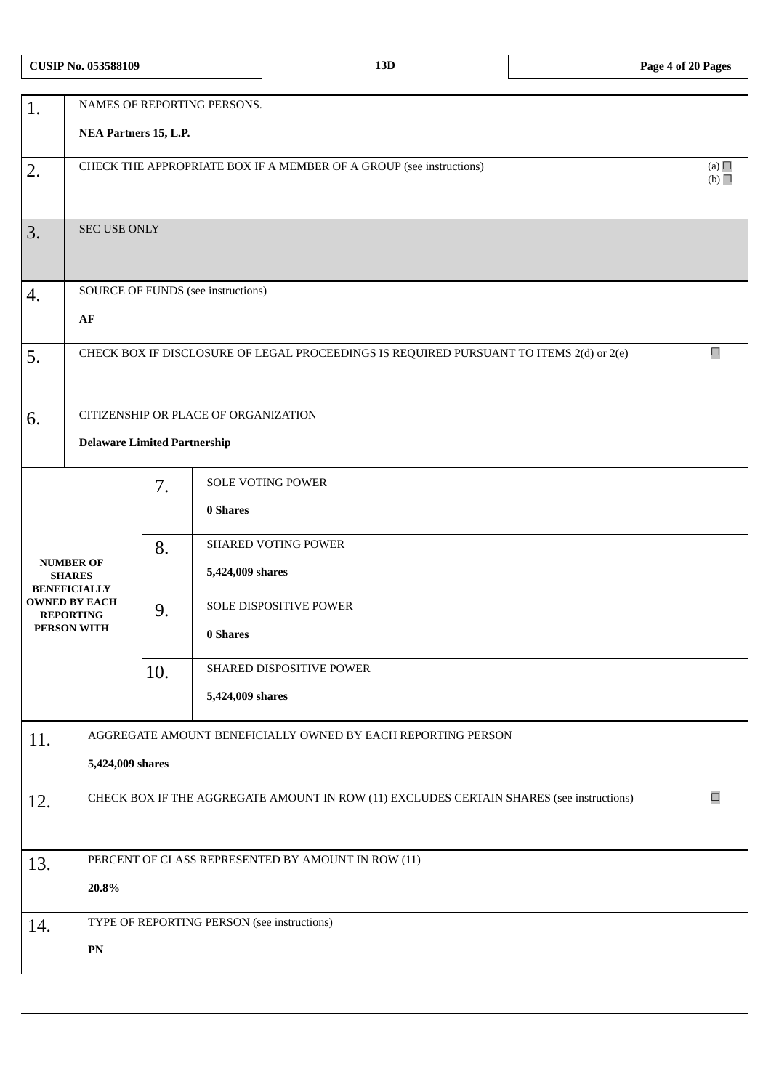| 1.  |                                                          | NAMES OF REPORTING PERSONS.<br>NEA Partners 15, L.P. |                                                                                          |                   |  |  |
|-----|----------------------------------------------------------|------------------------------------------------------|------------------------------------------------------------------------------------------|-------------------|--|--|
|     |                                                          |                                                      |                                                                                          |                   |  |  |
| 2.  |                                                          |                                                      | CHECK THE APPROPRIATE BOX IF A MEMBER OF A GROUP (see instructions)                      | (a) $\Box$<br>(b) |  |  |
| 3.  | SEC USE ONLY                                             |                                                      |                                                                                          |                   |  |  |
| 4.  |                                                          |                                                      | SOURCE OF FUNDS (see instructions)                                                       |                   |  |  |
|     | AF                                                       |                                                      |                                                                                          |                   |  |  |
| 5.  |                                                          |                                                      | CHECK BOX IF DISCLOSURE OF LEGAL PROCEEDINGS IS REQUIRED PURSUANT TO ITEMS 2(d) or 2(e)  | $\Box$            |  |  |
| 6.  |                                                          |                                                      | CITIZENSHIP OR PLACE OF ORGANIZATION                                                     |                   |  |  |
|     | <b>Delaware Limited Partnership</b>                      |                                                      |                                                                                          |                   |  |  |
|     |                                                          | 7.                                                   | <b>SOLE VOTING POWER</b><br>0 Shares                                                     |                   |  |  |
|     | <b>NUMBER OF</b><br><b>SHARES</b><br><b>BENEFICIALLY</b> |                                                      | SHARED VOTING POWER<br>5,424,009 shares                                                  |                   |  |  |
|     | <b>OWNED BY EACH</b><br><b>REPORTING</b><br>PERSON WITH  | 9.                                                   | SOLE DISPOSITIVE POWER<br>0 Shares                                                       |                   |  |  |
|     |                                                          | 10.                                                  | SHARED DISPOSITIVE POWER                                                                 |                   |  |  |
|     |                                                          |                                                      | 5,424,009 shares                                                                         |                   |  |  |
| 11. |                                                          |                                                      | AGGREGATE AMOUNT BENEFICIALLY OWNED BY EACH REPORTING PERSON                             |                   |  |  |
|     | 5,424,009 shares                                         |                                                      |                                                                                          |                   |  |  |
| 12. |                                                          |                                                      | CHECK BOX IF THE AGGREGATE AMOUNT IN ROW (11) EXCLUDES CERTAIN SHARES (see instructions) | $\Box$            |  |  |
|     |                                                          |                                                      |                                                                                          |                   |  |  |
| 13. |                                                          |                                                      | PERCENT OF CLASS REPRESENTED BY AMOUNT IN ROW (11)                                       |                   |  |  |
|     | 20.8%                                                    |                                                      |                                                                                          |                   |  |  |
| 14. |                                                          |                                                      | TYPE OF REPORTING PERSON (see instructions)                                              |                   |  |  |
|     | ${\bf P}{\bf N}$                                         |                                                      |                                                                                          |                   |  |  |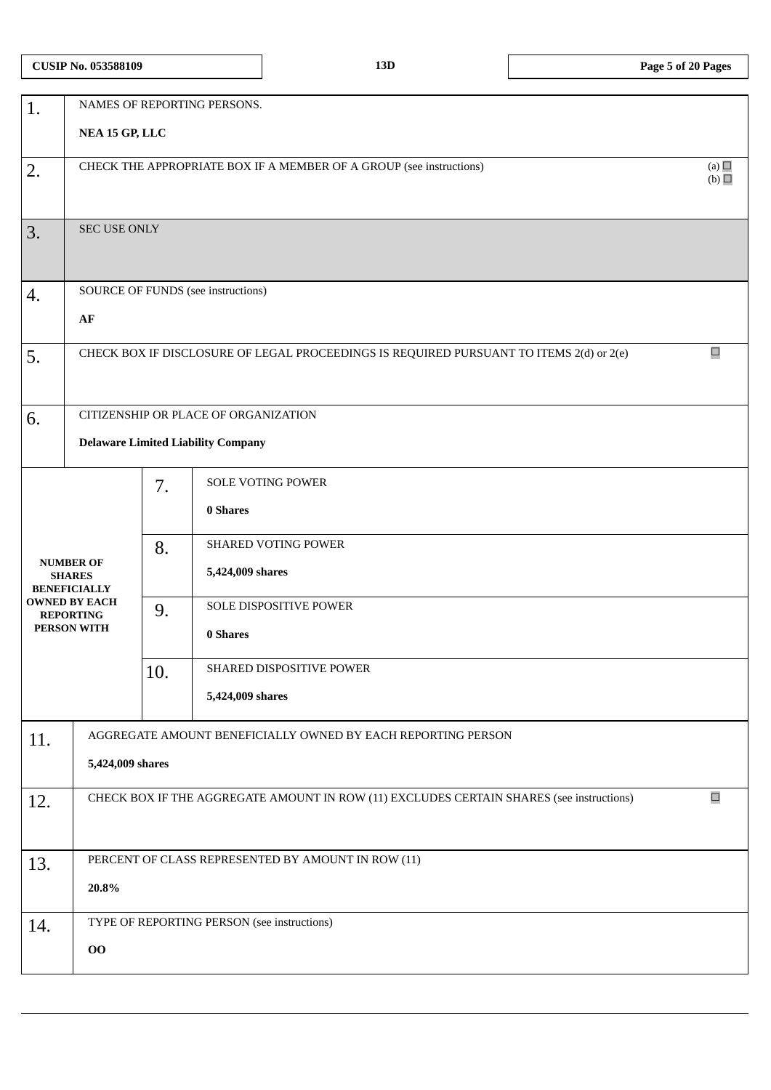| 1.  |                                                                                   |     | NAMES OF REPORTING PERSONS.                                                              |        |  |  |
|-----|-----------------------------------------------------------------------------------|-----|------------------------------------------------------------------------------------------|--------|--|--|
|     | NEA 15 GP, LLC                                                                    |     |                                                                                          |        |  |  |
| 2.  | (a)<br>CHECK THE APPROPRIATE BOX IF A MEMBER OF A GROUP (see instructions)<br>(b) |     |                                                                                          |        |  |  |
|     |                                                                                   |     |                                                                                          |        |  |  |
| 3.  | <b>SEC USE ONLY</b>                                                               |     |                                                                                          |        |  |  |
|     |                                                                                   |     |                                                                                          |        |  |  |
| 4.  |                                                                                   |     | SOURCE OF FUNDS (see instructions)                                                       |        |  |  |
|     | AF                                                                                |     |                                                                                          |        |  |  |
| 5.  |                                                                                   |     | CHECK BOX IF DISCLOSURE OF LEGAL PROCEEDINGS IS REQUIRED PURSUANT TO ITEMS 2(d) or 2(e)  | $\Box$ |  |  |
|     |                                                                                   |     |                                                                                          |        |  |  |
| 6.  |                                                                                   |     | CITIZENSHIP OR PLACE OF ORGANIZATION                                                     |        |  |  |
|     |                                                                                   |     | <b>Delaware Limited Liability Company</b>                                                |        |  |  |
|     |                                                                                   | 7.  | SOLE VOTING POWER                                                                        |        |  |  |
|     |                                                                                   |     | 0 Shares                                                                                 |        |  |  |
|     |                                                                                   | 8.  | <b>SHARED VOTING POWER</b>                                                               |        |  |  |
|     | <b>NUMBER OF</b><br><b>SHARES</b><br><b>BENEFICIALLY</b>                          |     | 5,424,009 shares                                                                         |        |  |  |
|     | <b>OWNED BY EACH</b><br><b>REPORTING</b>                                          | 9.  | SOLE DISPOSITIVE POWER                                                                   |        |  |  |
|     | PERSON WITH                                                                       |     | 0 Shares                                                                                 |        |  |  |
|     |                                                                                   | 10. | SHARED DISPOSITIVE POWER                                                                 |        |  |  |
|     |                                                                                   |     | 5,424,009 shares                                                                         |        |  |  |
| 11. |                                                                                   |     | AGGREGATE AMOUNT BENEFICIALLY OWNED BY EACH REPORTING PERSON                             |        |  |  |
|     | 5,424,009 shares                                                                  |     |                                                                                          |        |  |  |
| 12. |                                                                                   |     | CHECK BOX IF THE AGGREGATE AMOUNT IN ROW (11) EXCLUDES CERTAIN SHARES (see instructions) | $\Box$ |  |  |
|     |                                                                                   |     |                                                                                          |        |  |  |
| 13. |                                                                                   |     | PERCENT OF CLASS REPRESENTED BY AMOUNT IN ROW (11)                                       |        |  |  |
|     | 20.8%                                                                             |     |                                                                                          |        |  |  |
| 14. |                                                                                   |     | TYPE OF REPORTING PERSON (see instructions)                                              |        |  |  |
|     | 00                                                                                |     |                                                                                          |        |  |  |
|     |                                                                                   |     |                                                                                          |        |  |  |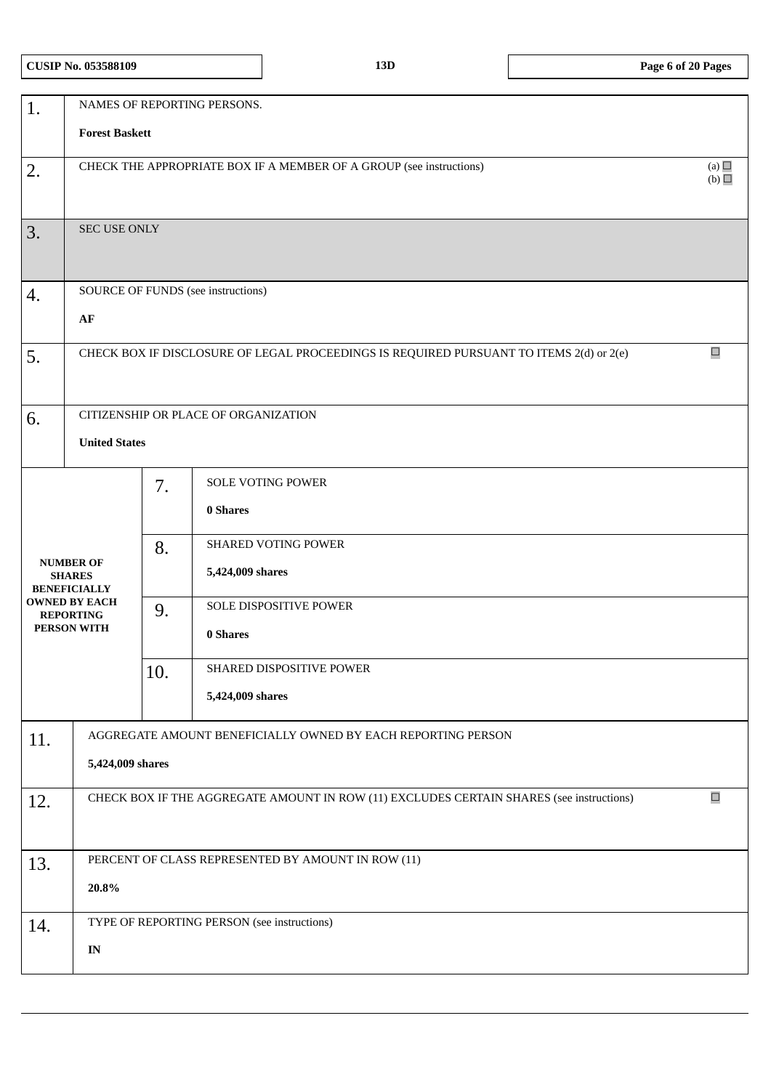|  |  | <b>CUSIP No. 053588109</b> |
|--|--|----------------------------|
|--|--|----------------------------|

| 1.  |                                                                                          |     | NAMES OF REPORTING PERSONS.                                                              |        |  |  |  |
|-----|------------------------------------------------------------------------------------------|-----|------------------------------------------------------------------------------------------|--------|--|--|--|
|     | <b>Forest Baskett</b>                                                                    |     |                                                                                          |        |  |  |  |
| 2.  | (a) $\Box$<br>CHECK THE APPROPRIATE BOX IF A MEMBER OF A GROUP (see instructions)<br>(b) |     |                                                                                          |        |  |  |  |
|     |                                                                                          |     |                                                                                          |        |  |  |  |
| 3.  | <b>SEC USE ONLY</b>                                                                      |     |                                                                                          |        |  |  |  |
|     |                                                                                          |     |                                                                                          |        |  |  |  |
| 4.  |                                                                                          |     | SOURCE OF FUNDS (see instructions)                                                       |        |  |  |  |
|     | ${\bf AF}$                                                                               |     |                                                                                          |        |  |  |  |
| 5.  |                                                                                          |     | CHECK BOX IF DISCLOSURE OF LEGAL PROCEEDINGS IS REQUIRED PURSUANT TO ITEMS 2(d) or 2(e)  | $\Box$ |  |  |  |
|     |                                                                                          |     |                                                                                          |        |  |  |  |
| 6.  |                                                                                          |     | CITIZENSHIP OR PLACE OF ORGANIZATION                                                     |        |  |  |  |
|     | <b>United States</b>                                                                     |     |                                                                                          |        |  |  |  |
|     |                                                                                          | 7.  | SOLE VOTING POWER                                                                        |        |  |  |  |
|     |                                                                                          |     | 0 Shares                                                                                 |        |  |  |  |
|     |                                                                                          | 8.  | <b>SHARED VOTING POWER</b>                                                               |        |  |  |  |
|     | <b>NUMBER OF</b><br><b>SHARES</b><br><b>BENEFICIALLY</b>                                 |     | 5,424,009 shares                                                                         |        |  |  |  |
|     | <b>OWNED BY EACH</b><br><b>REPORTING</b>                                                 | 9.  | SOLE DISPOSITIVE POWER                                                                   |        |  |  |  |
|     | PERSON WITH                                                                              |     | 0 Shares                                                                                 |        |  |  |  |
|     |                                                                                          | 10. | SHARED DISPOSITIVE POWER                                                                 |        |  |  |  |
|     |                                                                                          |     | 5,424,009 shares                                                                         |        |  |  |  |
| 11. |                                                                                          |     | AGGREGATE AMOUNT BENEFICIALLY OWNED BY EACH REPORTING PERSON                             |        |  |  |  |
|     | 5,424,009 shares                                                                         |     |                                                                                          |        |  |  |  |
| 12. |                                                                                          |     | CHECK BOX IF THE AGGREGATE AMOUNT IN ROW (11) EXCLUDES CERTAIN SHARES (see instructions) | $\Box$ |  |  |  |
|     |                                                                                          |     |                                                                                          |        |  |  |  |
| 13. |                                                                                          |     | PERCENT OF CLASS REPRESENTED BY AMOUNT IN ROW (11)                                       |        |  |  |  |
|     | 20.8%                                                                                    |     |                                                                                          |        |  |  |  |
| 14. |                                                                                          |     | TYPE OF REPORTING PERSON (see instructions)                                              |        |  |  |  |
|     | $\mathbf{IN}$                                                                            |     |                                                                                          |        |  |  |  |
|     |                                                                                          |     |                                                                                          |        |  |  |  |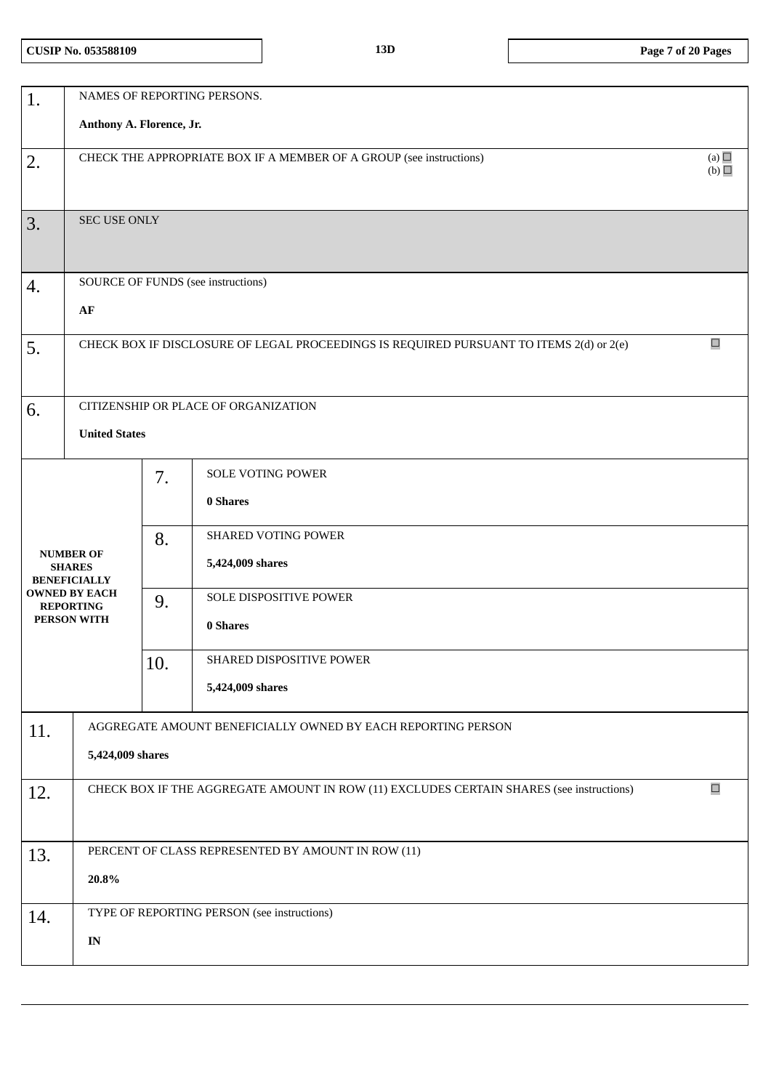| 1.  |                                                                                                    |     | NAMES OF REPORTING PERSONS.                                                             |        |  |  |  |
|-----|----------------------------------------------------------------------------------------------------|-----|-----------------------------------------------------------------------------------------|--------|--|--|--|
|     | Anthony A. Florence, Jr.                                                                           |     |                                                                                         |        |  |  |  |
| 2.  | (a) $\Box$<br>CHECK THE APPROPRIATE BOX IF A MEMBER OF A GROUP (see instructions)<br>(b)           |     |                                                                                         |        |  |  |  |
| 3.  | SEC USE ONLY                                                                                       |     |                                                                                         |        |  |  |  |
| 4.  |                                                                                                    |     | SOURCE OF FUNDS (see instructions)                                                      |        |  |  |  |
|     | AF                                                                                                 |     |                                                                                         |        |  |  |  |
| 5.  |                                                                                                    |     | CHECK BOX IF DISCLOSURE OF LEGAL PROCEEDINGS IS REQUIRED PURSUANT TO ITEMS 2(d) or 2(e) | $\Box$ |  |  |  |
| 6.  |                                                                                                    |     | CITIZENSHIP OR PLACE OF ORGANIZATION                                                    |        |  |  |  |
|     | <b>United States</b>                                                                               |     |                                                                                         |        |  |  |  |
|     |                                                                                                    | 7.  | <b>SOLE VOTING POWER</b><br>0 Shares                                                    |        |  |  |  |
|     |                                                                                                    |     |                                                                                         |        |  |  |  |
|     | <b>NUMBER OF</b>                                                                                   | 8.  | <b>SHARED VOTING POWER</b>                                                              |        |  |  |  |
|     | <b>SHARES</b><br><b>BENEFICIALLY</b>                                                               |     | 5,424,009 shares                                                                        |        |  |  |  |
|     | <b>OWNED BY EACH</b><br><b>REPORTING</b>                                                           | 9.  | SOLE DISPOSITIVE POWER                                                                  |        |  |  |  |
|     | PERSON WITH                                                                                        |     | 0 Shares                                                                                |        |  |  |  |
|     |                                                                                                    | 10. | SHARED DISPOSITIVE POWER                                                                |        |  |  |  |
|     |                                                                                                    |     | 5,424,009 shares                                                                        |        |  |  |  |
| 11. |                                                                                                    |     | AGGREGATE AMOUNT BENEFICIALLY OWNED BY EACH REPORTING PERSON                            |        |  |  |  |
|     | 5,424,009 shares                                                                                   |     |                                                                                         |        |  |  |  |
| 12. | $\Box$<br>CHECK BOX IF THE AGGREGATE AMOUNT IN ROW (11) EXCLUDES CERTAIN SHARES (see instructions) |     |                                                                                         |        |  |  |  |
| 13. |                                                                                                    |     | PERCENT OF CLASS REPRESENTED BY AMOUNT IN ROW (11)                                      |        |  |  |  |
|     | 20.8%                                                                                              |     |                                                                                         |        |  |  |  |
| 14. |                                                                                                    |     | TYPE OF REPORTING PERSON (see instructions)                                             |        |  |  |  |
|     | $\mathbf{IN}$                                                                                      |     |                                                                                         |        |  |  |  |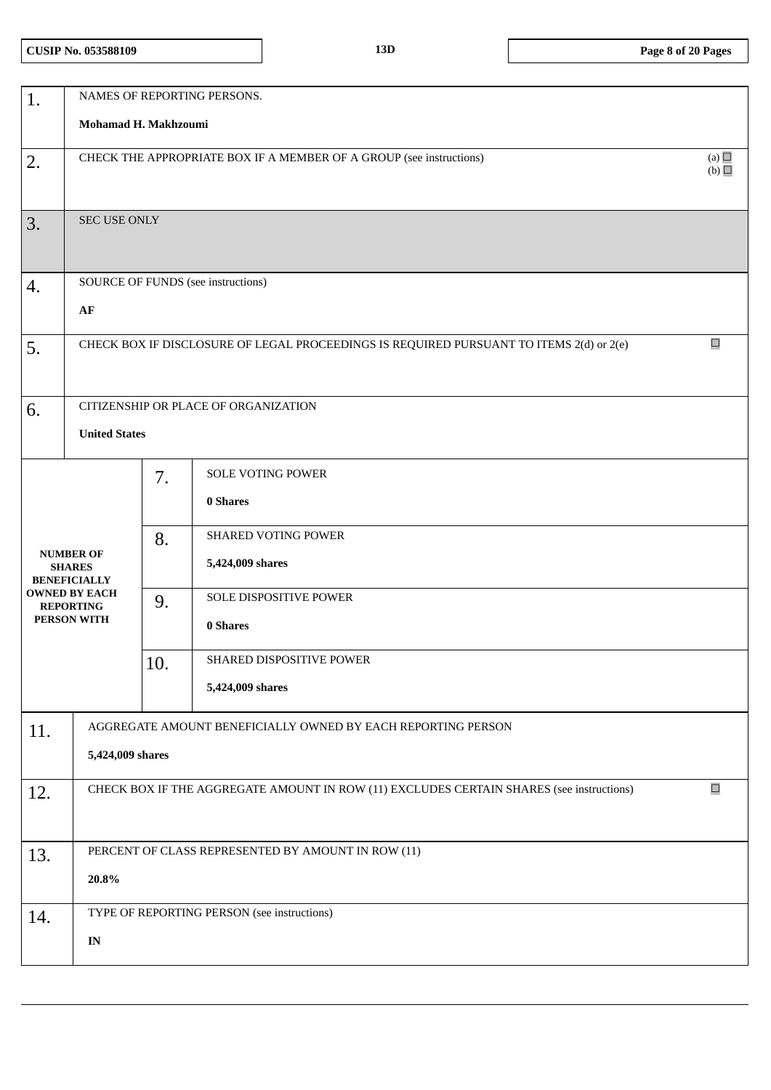|     |                                      |     | NAMES OF REPORTING PERSONS.                                                              |        |  |  |
|-----|--------------------------------------|-----|------------------------------------------------------------------------------------------|--------|--|--|
| 1.  |                                      |     |                                                                                          |        |  |  |
|     | Mohamad H. Makhzoumi                 |     |                                                                                          |        |  |  |
| 2.  |                                      |     | CHECK THE APPROPRIATE BOX IF A MEMBER OF A GROUP (see instructions)                      | (a)    |  |  |
|     | (b)                                  |     |                                                                                          |        |  |  |
|     |                                      |     |                                                                                          |        |  |  |
| 3.  | <b>SEC USE ONLY</b>                  |     |                                                                                          |        |  |  |
|     |                                      |     |                                                                                          |        |  |  |
|     |                                      |     |                                                                                          |        |  |  |
| 4.  |                                      |     | SOURCE OF FUNDS (see instructions)                                                       |        |  |  |
|     | AF                                   |     |                                                                                          |        |  |  |
|     |                                      |     |                                                                                          |        |  |  |
| 5.  |                                      |     | CHECK BOX IF DISCLOSURE OF LEGAL PROCEEDINGS IS REQUIRED PURSUANT TO ITEMS 2(d) or 2(e)  | $\Box$ |  |  |
|     |                                      |     |                                                                                          |        |  |  |
|     |                                      |     |                                                                                          |        |  |  |
| 6.  |                                      |     | CITIZENSHIP OR PLACE OF ORGANIZATION                                                     |        |  |  |
|     | <b>United States</b>                 |     |                                                                                          |        |  |  |
|     |                                      |     |                                                                                          |        |  |  |
|     |                                      | 7.  | SOLE VOTING POWER                                                                        |        |  |  |
|     |                                      |     | 0 Shares                                                                                 |        |  |  |
|     |                                      |     | <b>SHARED VOTING POWER</b>                                                               |        |  |  |
|     | <b>NUMBER OF</b>                     | 8.  |                                                                                          |        |  |  |
|     | <b>SHARES</b><br><b>BENEFICIALLY</b> |     | 5,424,009 shares                                                                         |        |  |  |
|     | <b>OWNED BY EACH</b>                 | 9.  | SOLE DISPOSITIVE POWER                                                                   |        |  |  |
|     | <b>REPORTING</b><br>PERSON WITH      |     | 0 Shares                                                                                 |        |  |  |
|     |                                      |     |                                                                                          |        |  |  |
|     |                                      | 10. | SHARED DISPOSITIVE POWER                                                                 |        |  |  |
|     |                                      |     | 5,424,009 shares                                                                         |        |  |  |
|     |                                      |     |                                                                                          |        |  |  |
| 11. |                                      |     | AGGREGATE AMOUNT BENEFICIALLY OWNED BY EACH REPORTING PERSON                             |        |  |  |
|     | 5,424,009 shares                     |     |                                                                                          |        |  |  |
|     |                                      |     |                                                                                          |        |  |  |
| 12. |                                      |     | CHECK BOX IF THE AGGREGATE AMOUNT IN ROW (11) EXCLUDES CERTAIN SHARES (see instructions) | $\Box$ |  |  |
|     |                                      |     |                                                                                          |        |  |  |
|     |                                      |     |                                                                                          |        |  |  |
| 13. |                                      |     | PERCENT OF CLASS REPRESENTED BY AMOUNT IN ROW (11)                                       |        |  |  |
|     | 20.8%                                |     |                                                                                          |        |  |  |
|     |                                      |     | TYPE OF REPORTING PERSON (see instructions)                                              |        |  |  |
| 14. |                                      |     |                                                                                          |        |  |  |
|     | $\mathbf{IN}$                        |     |                                                                                          |        |  |  |
|     |                                      |     |                                                                                          |        |  |  |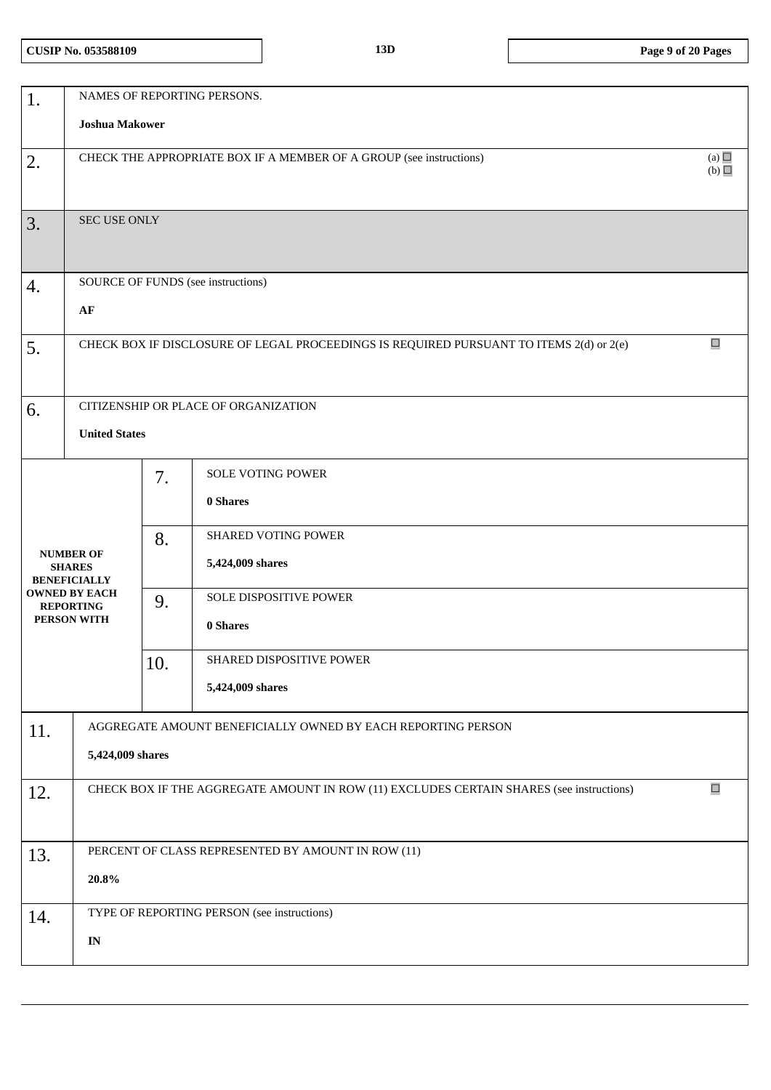| 1.                                       | NAMES OF REPORTING PERSONS.                                                       |                       |                                                                                          |        |  |  |  |  |
|------------------------------------------|-----------------------------------------------------------------------------------|-----------------------|------------------------------------------------------------------------------------------|--------|--|--|--|--|
|                                          |                                                                                   | <b>Joshua Makower</b> |                                                                                          |        |  |  |  |  |
| 2.                                       | (a)<br>CHECK THE APPROPRIATE BOX IF A MEMBER OF A GROUP (see instructions)<br>(b) |                       |                                                                                          |        |  |  |  |  |
|                                          |                                                                                   |                       |                                                                                          |        |  |  |  |  |
| 3.                                       | SEC USE ONLY                                                                      |                       |                                                                                          |        |  |  |  |  |
|                                          |                                                                                   |                       |                                                                                          |        |  |  |  |  |
| 4.                                       |                                                                                   |                       | SOURCE OF FUNDS (see instructions)                                                       |        |  |  |  |  |
|                                          | ${\bf AF}$                                                                        |                       |                                                                                          |        |  |  |  |  |
| 5.                                       |                                                                                   |                       | CHECK BOX IF DISCLOSURE OF LEGAL PROCEEDINGS IS REQUIRED PURSUANT TO ITEMS 2(d) or 2(e)  | $\Box$ |  |  |  |  |
|                                          |                                                                                   |                       |                                                                                          |        |  |  |  |  |
| 6.                                       |                                                                                   |                       | CITIZENSHIP OR PLACE OF ORGANIZATION                                                     |        |  |  |  |  |
|                                          | <b>United States</b>                                                              |                       |                                                                                          |        |  |  |  |  |
|                                          |                                                                                   | 7.                    | SOLE VOTING POWER                                                                        |        |  |  |  |  |
|                                          |                                                                                   |                       | 0 Shares                                                                                 |        |  |  |  |  |
|                                          |                                                                                   | 8.                    | SHARED VOTING POWER                                                                      |        |  |  |  |  |
| <b>SHARES</b><br><b>BENEFICIALLY</b>     | <b>NUMBER OF</b>                                                                  |                       | 5,424,009 shares                                                                         |        |  |  |  |  |
| <b>OWNED BY EACH</b><br><b>REPORTING</b> |                                                                                   | 9.                    | SOLE DISPOSITIVE POWER                                                                   |        |  |  |  |  |
| PERSON WITH                              |                                                                                   |                       | 0 Shares                                                                                 |        |  |  |  |  |
|                                          |                                                                                   | 10.                   | SHARED DISPOSITIVE POWER                                                                 |        |  |  |  |  |
|                                          |                                                                                   |                       | 5,424,009 shares                                                                         |        |  |  |  |  |
| 11.                                      |                                                                                   |                       | AGGREGATE AMOUNT BENEFICIALLY OWNED BY EACH REPORTING PERSON                             |        |  |  |  |  |
|                                          | 5,424,009 shares                                                                  |                       |                                                                                          |        |  |  |  |  |
| 12.                                      |                                                                                   |                       | CHECK BOX IF THE AGGREGATE AMOUNT IN ROW (11) EXCLUDES CERTAIN SHARES (see instructions) | $\Box$ |  |  |  |  |
|                                          |                                                                                   |                       |                                                                                          |        |  |  |  |  |
| 13.                                      |                                                                                   |                       | PERCENT OF CLASS REPRESENTED BY AMOUNT IN ROW (11)                                       |        |  |  |  |  |
|                                          | $20.8\%$                                                                          |                       |                                                                                          |        |  |  |  |  |
| 14.                                      |                                                                                   |                       | TYPE OF REPORTING PERSON (see instructions)                                              |        |  |  |  |  |
|                                          | $\mathbf{IN}$                                                                     |                       |                                                                                          |        |  |  |  |  |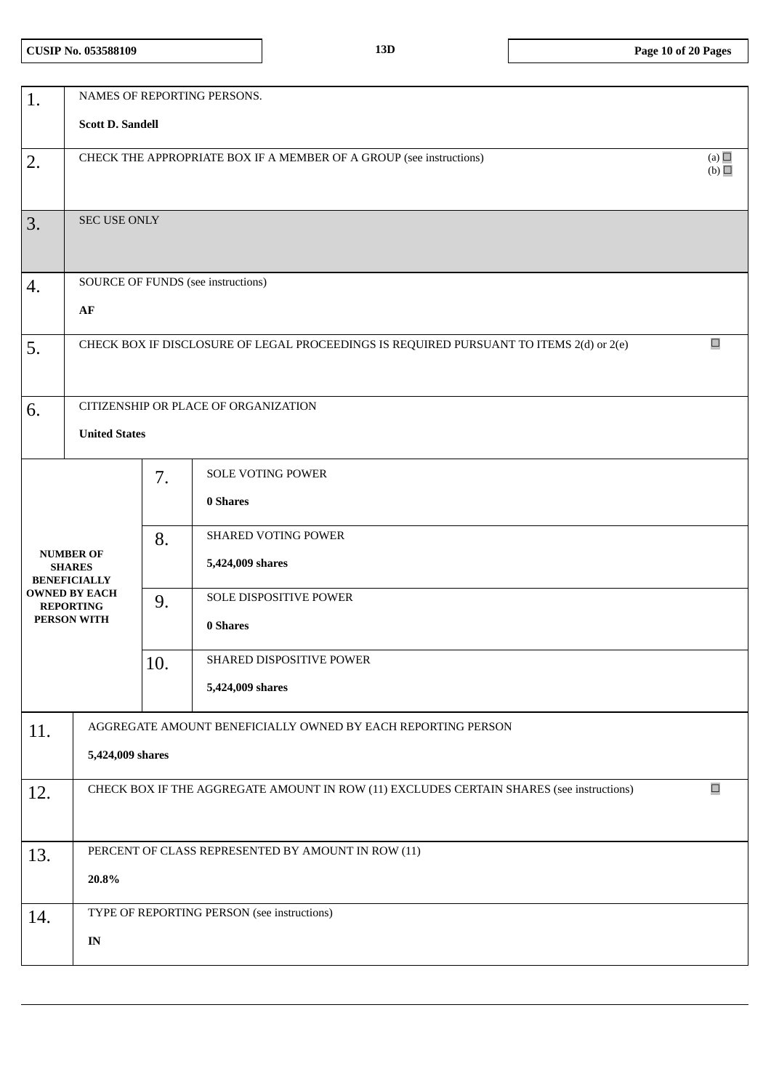| 1.  | NAMES OF REPORTING PERSONS.                                                       |     |                                                                                          |        |  |  |
|-----|-----------------------------------------------------------------------------------|-----|------------------------------------------------------------------------------------------|--------|--|--|
|     | <b>Scott D. Sandell</b>                                                           |     |                                                                                          |        |  |  |
| 2.  | (a)<br>CHECK THE APPROPRIATE BOX IF A MEMBER OF A GROUP (see instructions)<br>(b) |     |                                                                                          |        |  |  |
| 3.  | SEC USE ONLY                                                                      |     |                                                                                          |        |  |  |
| 4.  |                                                                                   |     | SOURCE OF FUNDS (see instructions)                                                       |        |  |  |
|     | $\bf AF$                                                                          |     |                                                                                          |        |  |  |
| 5.  |                                                                                   |     | CHECK BOX IF DISCLOSURE OF LEGAL PROCEEDINGS IS REQUIRED PURSUANT TO ITEMS 2(d) or 2(e)  | $\Box$ |  |  |
| 6.  |                                                                                   |     | CITIZENSHIP OR PLACE OF ORGANIZATION                                                     |        |  |  |
|     | <b>United States</b>                                                              |     |                                                                                          |        |  |  |
|     |                                                                                   | 7.  | <b>SOLE VOTING POWER</b><br>0 Shares                                                     |        |  |  |
|     | <b>NUMBER OF</b><br><b>SHARES</b><br><b>BENEFICIALLY</b>                          | 8.  | SHARED VOTING POWER<br>5,424,009 shares                                                  |        |  |  |
|     | <b>OWNED BY EACH</b><br><b>REPORTING</b><br>PERSON WITH                           | 9.  | SOLE DISPOSITIVE POWER<br>0 Shares                                                       |        |  |  |
|     |                                                                                   | 10. | SHARED DISPOSITIVE POWER                                                                 |        |  |  |
|     |                                                                                   |     | 5,424,009 shares                                                                         |        |  |  |
| 11. | AGGREGATE AMOUNT BENEFICIALLY OWNED BY EACH REPORTING PERSON<br>5,424,009 shares  |     |                                                                                          |        |  |  |
| 12. |                                                                                   |     | CHECK BOX IF THE AGGREGATE AMOUNT IN ROW (11) EXCLUDES CERTAIN SHARES (see instructions) | $\Box$ |  |  |
| 13. | $20.8\%$                                                                          |     | PERCENT OF CLASS REPRESENTED BY AMOUNT IN ROW (11)                                       |        |  |  |
| 14. |                                                                                   |     | TYPE OF REPORTING PERSON (see instructions)                                              |        |  |  |
|     | $\mathbf{IN}$                                                                     |     |                                                                                          |        |  |  |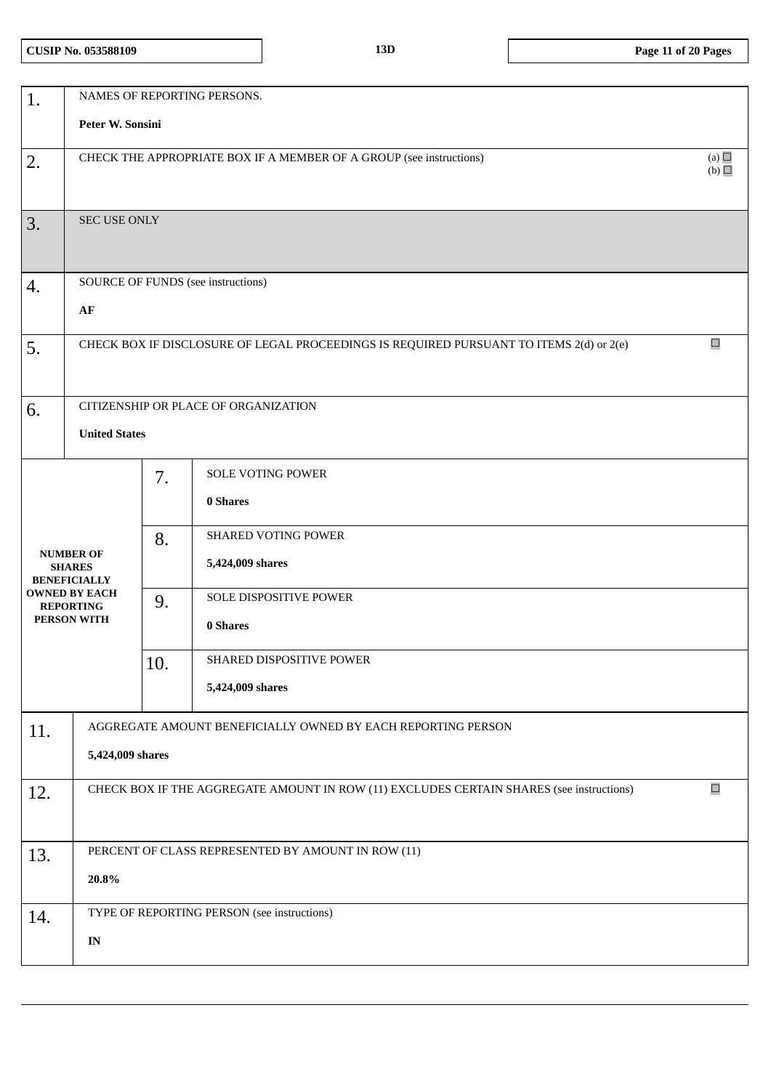| 1.  |                                                                                   |     | NAMES OF REPORTING PERSONS.                                                              |        |  |  |  |
|-----|-----------------------------------------------------------------------------------|-----|------------------------------------------------------------------------------------------|--------|--|--|--|
|     | Peter W. Sonsini                                                                  |     |                                                                                          |        |  |  |  |
| 2.  | (a)<br>CHECK THE APPROPRIATE BOX IF A MEMBER OF A GROUP (see instructions)<br>(b) |     |                                                                                          |        |  |  |  |
|     |                                                                                   |     |                                                                                          |        |  |  |  |
| 3.  | <b>SEC USE ONLY</b>                                                               |     |                                                                                          |        |  |  |  |
|     |                                                                                   |     |                                                                                          |        |  |  |  |
| 4.  |                                                                                   |     | SOURCE OF FUNDS (see instructions)                                                       |        |  |  |  |
|     | AF                                                                                |     |                                                                                          |        |  |  |  |
| 5.  |                                                                                   |     | CHECK BOX IF DISCLOSURE OF LEGAL PROCEEDINGS IS REQUIRED PURSUANT TO ITEMS 2(d) or 2(e)  | $\Box$ |  |  |  |
|     |                                                                                   |     |                                                                                          |        |  |  |  |
| 6.  |                                                                                   |     | CITIZENSHIP OR PLACE OF ORGANIZATION                                                     |        |  |  |  |
|     | <b>United States</b>                                                              |     |                                                                                          |        |  |  |  |
|     |                                                                                   | 7.  | SOLE VOTING POWER                                                                        |        |  |  |  |
|     |                                                                                   |     | 0 Shares                                                                                 |        |  |  |  |
|     |                                                                                   | 8.  | SHARED VOTING POWER                                                                      |        |  |  |  |
|     | <b>NUMBER OF</b><br><b>SHARES</b><br><b>BENEFICIALLY</b>                          |     | 5,424,009 shares                                                                         |        |  |  |  |
|     | <b>OWNED BY EACH</b><br><b>REPORTING</b>                                          | 9.  | SOLE DISPOSITIVE POWER                                                                   |        |  |  |  |
|     | PERSON WITH                                                                       |     | 0 Shares                                                                                 |        |  |  |  |
|     |                                                                                   | 10. | <b>SHARED DISPOSITIVE POWER</b>                                                          |        |  |  |  |
|     |                                                                                   |     | 5,424,009 shares                                                                         |        |  |  |  |
| 11. |                                                                                   |     | AGGREGATE AMOUNT BENEFICIALLY OWNED BY EACH REPORTING PERSON                             |        |  |  |  |
|     | 5,424,009 shares                                                                  |     |                                                                                          |        |  |  |  |
| 12. |                                                                                   |     | CHECK BOX IF THE AGGREGATE AMOUNT IN ROW (11) EXCLUDES CERTAIN SHARES (see instructions) | $\Box$ |  |  |  |
|     |                                                                                   |     |                                                                                          |        |  |  |  |
| 13. |                                                                                   |     | PERCENT OF CLASS REPRESENTED BY AMOUNT IN ROW (11)                                       |        |  |  |  |
|     | 20.8%                                                                             |     |                                                                                          |        |  |  |  |
| 14. |                                                                                   |     | TYPE OF REPORTING PERSON (see instructions)                                              |        |  |  |  |
|     | $\mathbf{IN}$                                                                     |     |                                                                                          |        |  |  |  |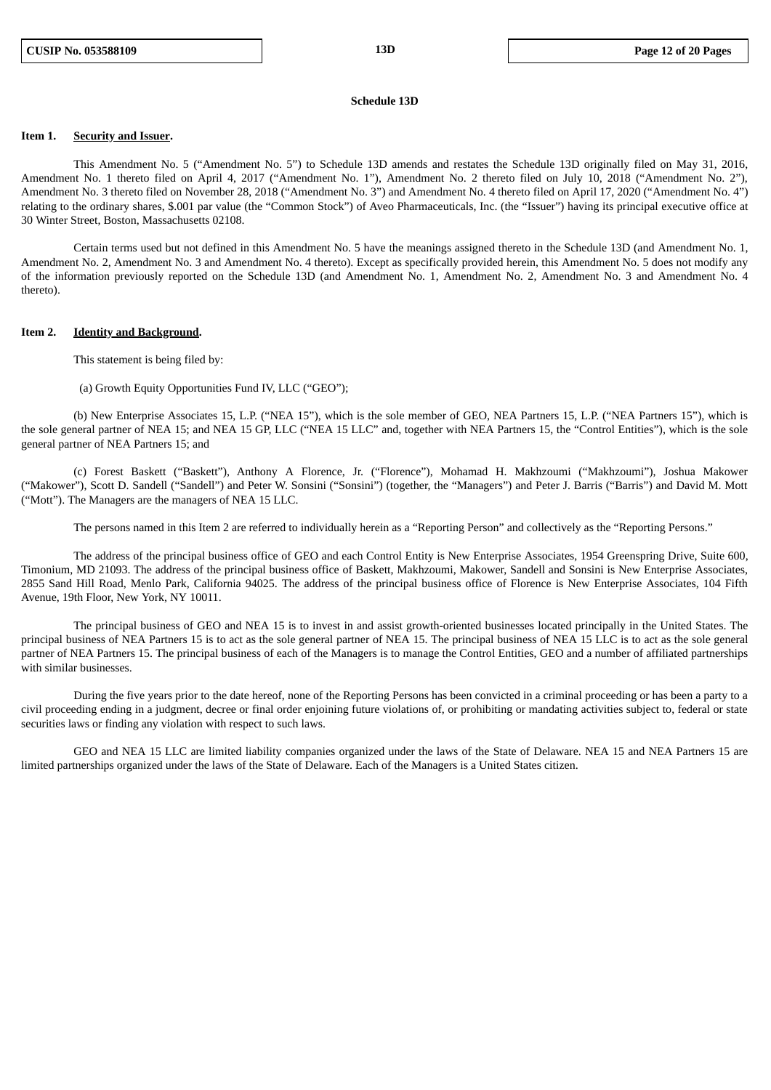#### **Schedule 13D**

#### **Item 1. Security and Issuer.**

This Amendment No. 5 ("Amendment No. 5") to Schedule 13D amends and restates the Schedule 13D originally filed on May 31, 2016, Amendment No. 1 thereto filed on April 4, 2017 ("Amendment No. 1"), Amendment No. 2 thereto filed on July 10, 2018 ("Amendment No. 2"), Amendment No. 3 thereto filed on November 28, 2018 ("Amendment No. 3") and Amendment No. 4 thereto filed on April 17, 2020 ("Amendment No. 4") relating to the ordinary shares, \$.001 par value (the "Common Stock") of Aveo Pharmaceuticals, Inc. (the "Issuer") having its principal executive office at 30 Winter Street, Boston, Massachusetts 02108.

Certain terms used but not defined in this Amendment No. 5 have the meanings assigned thereto in the Schedule 13D (and Amendment No. 1, Amendment No. 2, Amendment No. 3 and Amendment No. 4 thereto). Except as specifically provided herein, this Amendment No. 5 does not modify any of the information previously reported on the Schedule 13D (and Amendment No. 1, Amendment No. 2, Amendment No. 3 and Amendment No. 4 thereto).

## **Item 2. Identity and Background.**

This statement is being filed by:

(a) Growth Equity Opportunities Fund IV, LLC ("GEO");

(b) New Enterprise Associates 15, L.P. ("NEA 15"), which is the sole member of GEO, NEA Partners 15, L.P. ("NEA Partners 15"), which is the sole general partner of NEA 15; and NEA 15 GP, LLC ("NEA 15 LLC" and, together with NEA Partners 15, the "Control Entities"), which is the sole general partner of NEA Partners 15; and

(c) Forest Baskett ("Baskett"), Anthony A Florence, Jr. ("Florence"), Mohamad H. Makhzoumi ("Makhzoumi"), Joshua Makower ("Makower"), Scott D. Sandell ("Sandell") and Peter W. Sonsini ("Sonsini") (together, the "Managers") and Peter J. Barris ("Barris") and David M. Mott ("Mott"). The Managers are the managers of NEA 15 LLC.

The persons named in this Item 2 are referred to individually herein as a "Reporting Person" and collectively as the "Reporting Persons."

The address of the principal business office of GEO and each Control Entity is New Enterprise Associates, 1954 Greenspring Drive, Suite 600, Timonium, MD 21093. The address of the principal business office of Baskett, Makhzoumi, Makower, Sandell and Sonsini is New Enterprise Associates, 2855 Sand Hill Road, Menlo Park, California 94025. The address of the principal business office of Florence is New Enterprise Associates, 104 Fifth Avenue, 19th Floor, New York, NY 10011.

The principal business of GEO and NEA 15 is to invest in and assist growth-oriented businesses located principally in the United States. The principal business of NEA Partners 15 is to act as the sole general partner of NEA 15. The principal business of NEA 15 LLC is to act as the sole general partner of NEA Partners 15. The principal business of each of the Managers is to manage the Control Entities, GEO and a number of affiliated partnerships with similar businesses.

During the five years prior to the date hereof, none of the Reporting Persons has been convicted in a criminal proceeding or has been a party to a civil proceeding ending in a judgment, decree or final order enjoining future violations of, or prohibiting or mandating activities subject to, federal or state securities laws or finding any violation with respect to such laws.

GEO and NEA 15 LLC are limited liability companies organized under the laws of the State of Delaware. NEA 15 and NEA Partners 15 are limited partnerships organized under the laws of the State of Delaware. Each of the Managers is a United States citizen.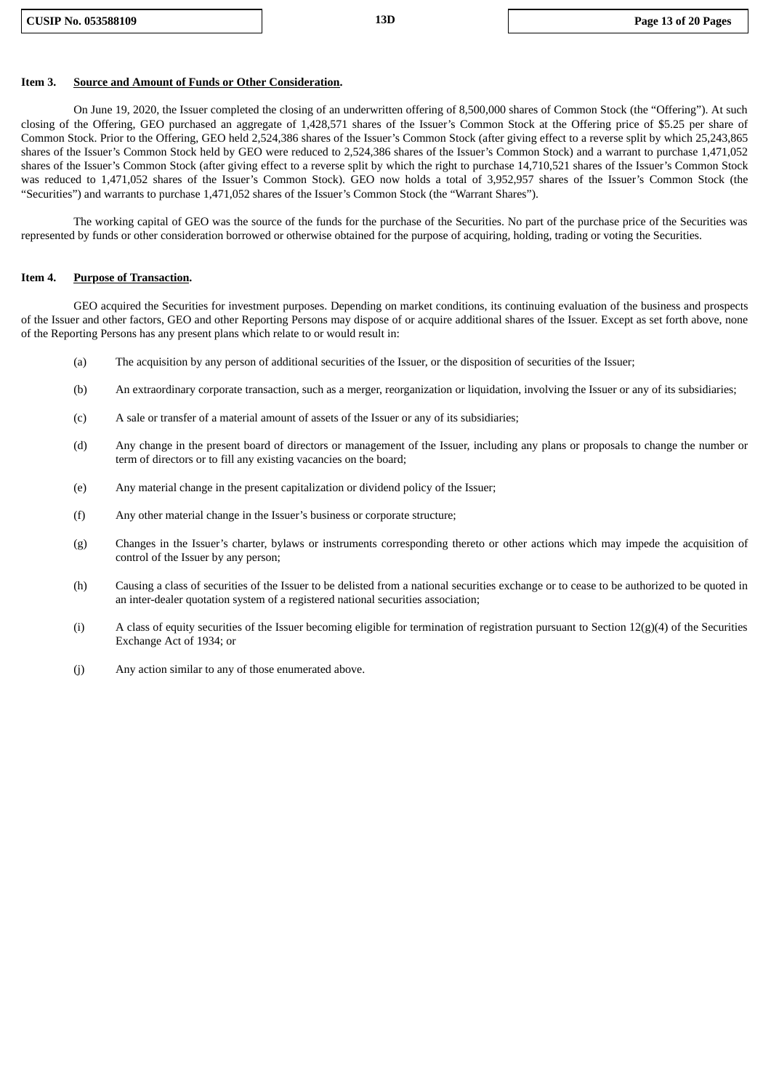#### **Item 3. Source and Amount of Funds or Other Consideration.**

On June 19, 2020, the Issuer completed the closing of an underwritten offering of 8,500,000 shares of Common Stock (the "Offering"). At such closing of the Offering, GEO purchased an aggregate of 1,428,571 shares of the Issuer's Common Stock at the Offering price of \$5.25 per share of Common Stock. Prior to the Offering, GEO held 2,524,386 shares of the Issuer's Common Stock (after giving effect to a reverse split by which 25,243,865 shares of the Issuer's Common Stock held by GEO were reduced to 2,524,386 shares of the Issuer's Common Stock) and a warrant to purchase 1,471,052 shares of the Issuer's Common Stock (after giving effect to a reverse split by which the right to purchase 14,710,521 shares of the Issuer's Common Stock was reduced to 1,471,052 shares of the Issuer's Common Stock). GEO now holds a total of 3,952,957 shares of the Issuer's Common Stock (the "Securities") and warrants to purchase 1,471,052 shares of the Issuer's Common Stock (the "Warrant Shares").

The working capital of GEO was the source of the funds for the purchase of the Securities. No part of the purchase price of the Securities was represented by funds or other consideration borrowed or otherwise obtained for the purpose of acquiring, holding, trading or voting the Securities.

#### **Item 4. Purpose of Transaction.**

GEO acquired the Securities for investment purposes. Depending on market conditions, its continuing evaluation of the business and prospects of the Issuer and other factors, GEO and other Reporting Persons may dispose of or acquire additional shares of the Issuer. Except as set forth above, none of the Reporting Persons has any present plans which relate to or would result in:

- (a) The acquisition by any person of additional securities of the Issuer, or the disposition of securities of the Issuer;
- (b) An extraordinary corporate transaction, such as a merger, reorganization or liquidation, involving the Issuer or any of its subsidiaries;
- (c) A sale or transfer of a material amount of assets of the Issuer or any of its subsidiaries;
- (d) Any change in the present board of directors or management of the Issuer, including any plans or proposals to change the number or term of directors or to fill any existing vacancies on the board;
- (e) Any material change in the present capitalization or dividend policy of the Issuer;
- (f) Any other material change in the Issuer's business or corporate structure;
- (g) Changes in the Issuer's charter, bylaws or instruments corresponding thereto or other actions which may impede the acquisition of control of the Issuer by any person;
- (h) Causing a class of securities of the Issuer to be delisted from a national securities exchange or to cease to be authorized to be quoted in an inter-dealer quotation system of a registered national securities association;
- (i) A class of equity securities of the Issuer becoming eligible for termination of registration pursuant to Section  $12(g)(4)$  of the Securities Exchange Act of 1934; or
- (j) Any action similar to any of those enumerated above.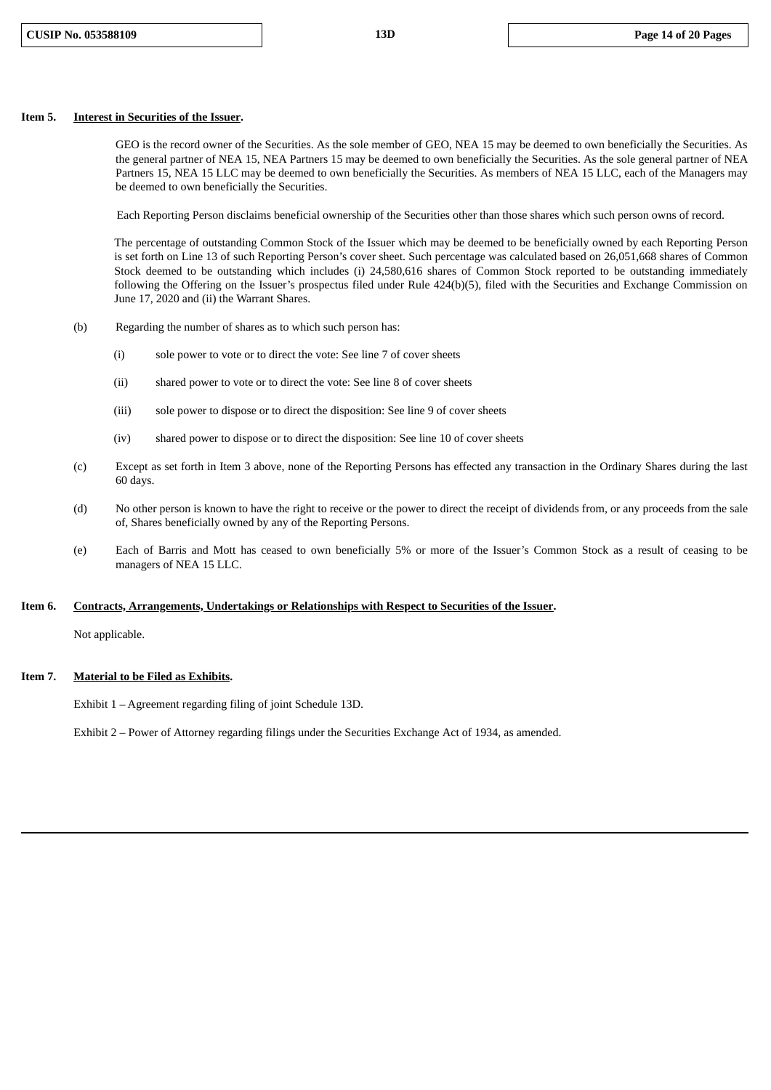## **Item 5. Interest in Securities of the Issuer.**

GEO is the record owner of the Securities. As the sole member of GEO, NEA 15 may be deemed to own beneficially the Securities. As the general partner of NEA 15, NEA Partners 15 may be deemed to own beneficially the Securities. As the sole general partner of NEA Partners 15, NEA 15 LLC may be deemed to own beneficially the Securities. As members of NEA 15 LLC, each of the Managers may be deemed to own beneficially the Securities.

Each Reporting Person disclaims beneficial ownership of the Securities other than those shares which such person owns of record.

The percentage of outstanding Common Stock of the Issuer which may be deemed to be beneficially owned by each Reporting Person is set forth on Line 13 of such Reporting Person's cover sheet. Such percentage was calculated based on 26,051,668 shares of Common Stock deemed to be outstanding which includes (i) 24,580,616 shares of Common Stock reported to be outstanding immediately following the Offering on the Issuer's prospectus filed under Rule 424(b)(5), filed with the Securities and Exchange Commission on June 17, 2020 and (ii) the Warrant Shares.

- (b) Regarding the number of shares as to which such person has:
	- (i) sole power to vote or to direct the vote: See line 7 of cover sheets
	- (ii) shared power to vote or to direct the vote: See line 8 of cover sheets
	- (iii) sole power to dispose or to direct the disposition: See line 9 of cover sheets
	- (iv) shared power to dispose or to direct the disposition: See line 10 of cover sheets
- (c) Except as set forth in Item 3 above, none of the Reporting Persons has effected any transaction in the Ordinary Shares during the last 60 days.
- (d) No other person is known to have the right to receive or the power to direct the receipt of dividends from, or any proceeds from the sale of, Shares beneficially owned by any of the Reporting Persons.
- (e) Each of Barris and Mott has ceased to own beneficially 5% or more of the Issuer's Common Stock as a result of ceasing to be managers of NEA 15 LLC.

#### **Item 6. Contracts, Arrangements, Undertakings or Relationships with Respect to Securities of the Issuer.**

Not applicable.

## **Item 7. Material to be Filed as Exhibits.**

Exhibit 1 – Agreement regarding filing of joint Schedule 13D.

Exhibit 2 – Power of Attorney regarding filings under the Securities Exchange Act of 1934, as amended.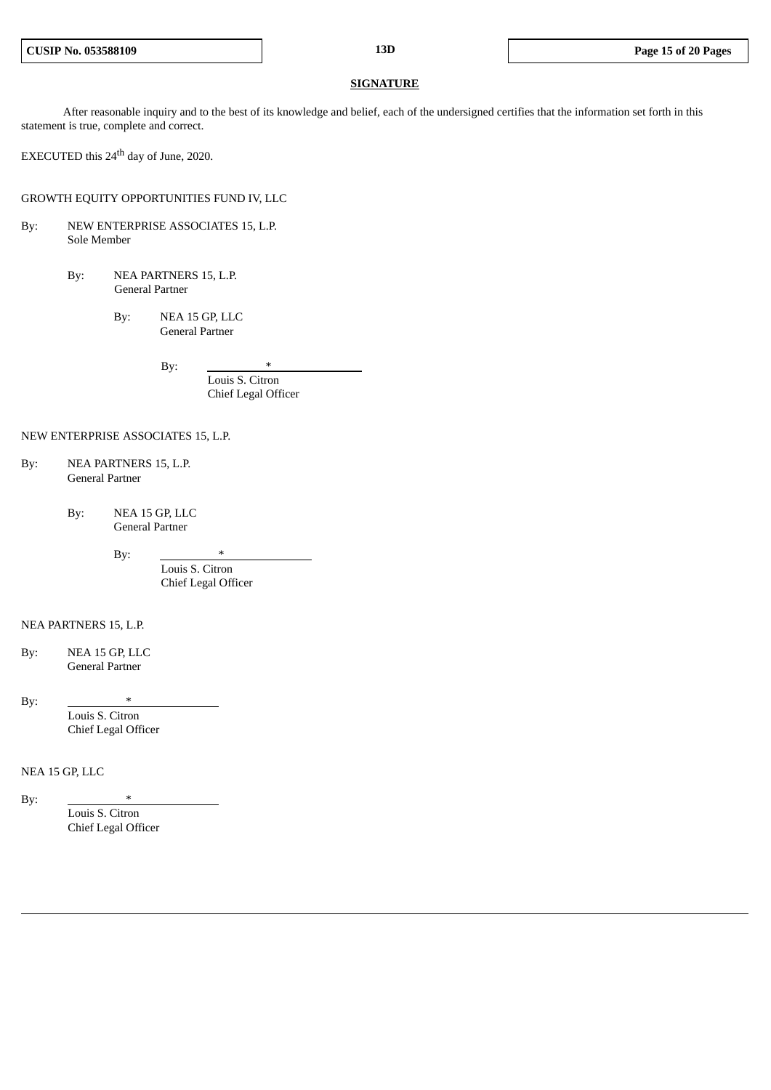#### **SIGNATURE**

After reasonable inquiry and to the best of its knowledge and belief, each of the undersigned certifies that the information set forth in this statement is true, complete and correct.

EXECUTED this 24<sup>th</sup> day of June, 2020.

GROWTH EQUITY OPPORTUNITIES FUND IV, LLC

- By: NEW ENTERPRISE ASSOCIATES 15, L.P. Sole Member
	- By: NEA PARTNERS 15, L.P. General Partner
		- By: NEA 15 GP, LLC General Partner

By:

Louis S. Citron Chief Legal Officer

## NEW ENTERPRISE ASSOCIATES 15, L.P.

- By: NEA PARTNERS 15, L.P. General Partner
	- By: NEA 15 GP, LLC General Partner

By:

Louis S. Citron Chief Legal Officer

#### NEA PARTNERS 15, L.P.

By: NEA 15 GP, LLC General Partner

By:  $*$ 

Louis S. Citron Chief Legal Officer

# NEA 15 GP, LLC

By:  $*$ 

Louis S. Citron Chief Legal Officer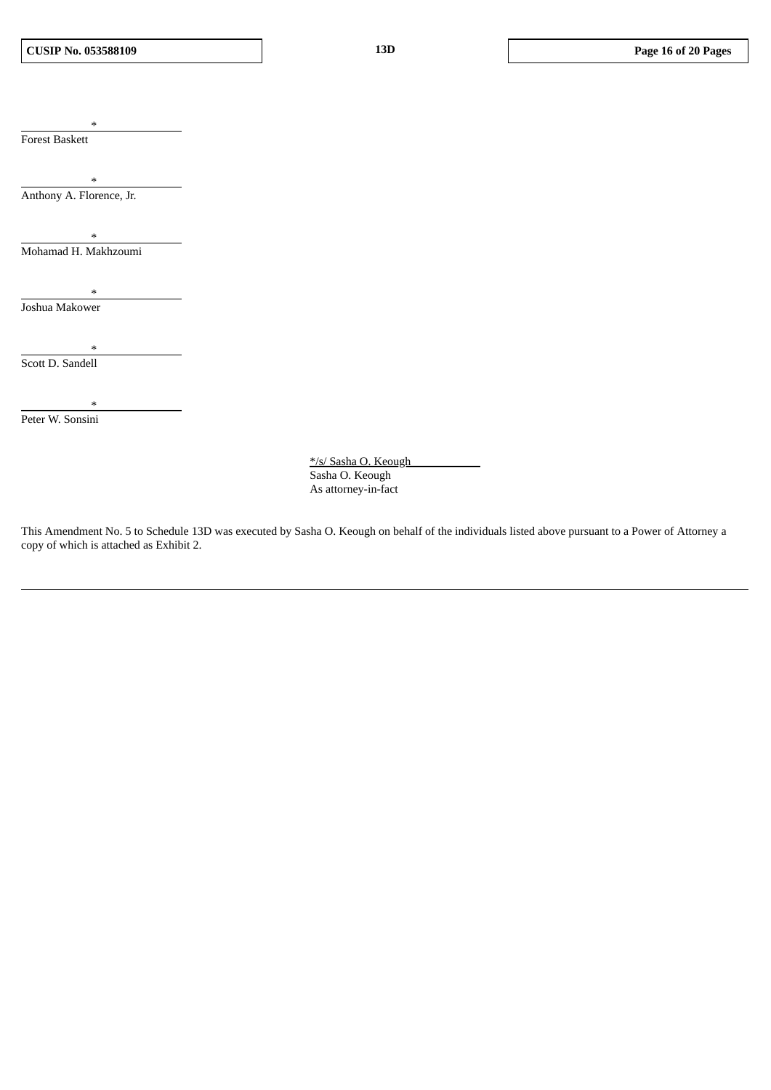\* Forest Baskett

\* Anthony A. Florence, Jr.

\* Mohamad H. Makhzoumi

\* Joshua Makower

\* Scott D. Sandell

\* Peter W. Sonsini

> \*/s/ Sasha O. Keough Sasha O. Keough As attorney-in-fact

This Amendment No. 5 to Schedule 13D was executed by Sasha O. Keough on behalf of the individuals listed above pursuant to a Power of Attorney a copy of which is attached as Exhibit 2.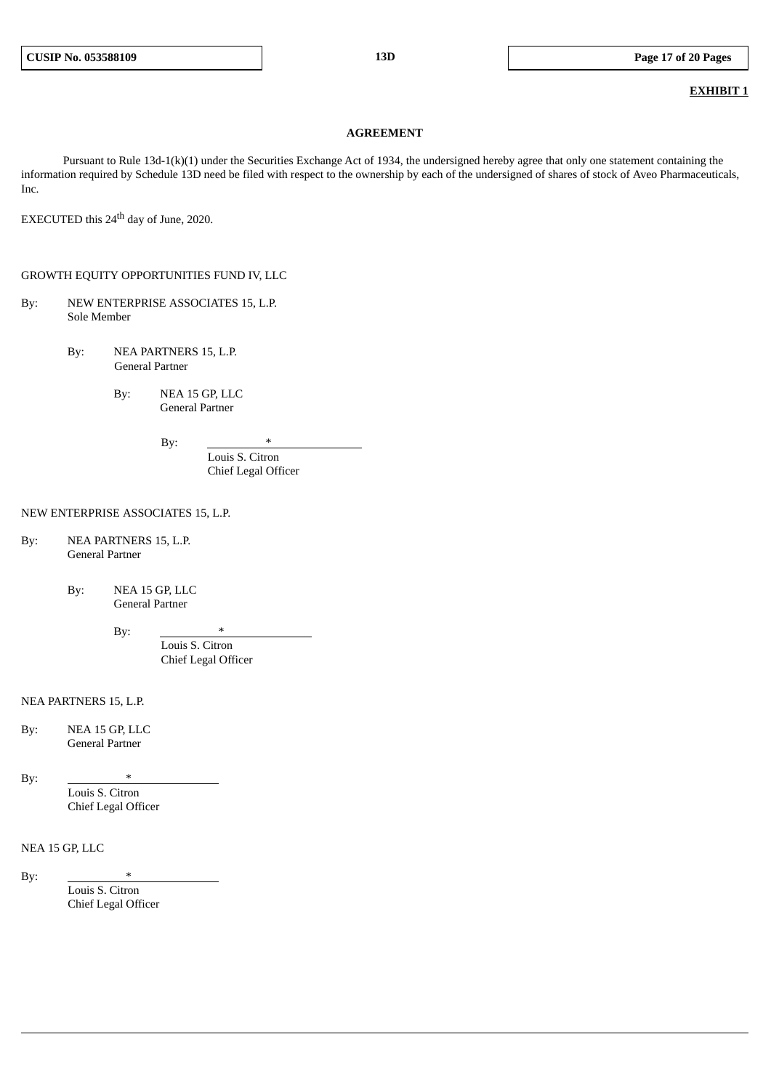## **EXHIBIT 1**

#### **AGREEMENT**

Pursuant to Rule 13d-1(k)(1) under the Securities Exchange Act of 1934, the undersigned hereby agree that only one statement containing the information required by Schedule 13D need be filed with respect to the ownership by each of the undersigned of shares of stock of Aveo Pharmaceuticals, Inc.

EXECUTED this 24<sup>th</sup> day of June, 2020.

# GROWTH EQUITY OPPORTUNITIES FUND IV, LLC

- By: NEW ENTERPRISE ASSOCIATES 15, L.P. Sole Member
	- By: NEA PARTNERS 15, L.P. General Partner
		- By: NEA 15 GP, LLC General Partner

By:

Louis S. Citron Chief Legal Officer

#### NEW ENTERPRISE ASSOCIATES 15, L.P.

- By: NEA PARTNERS 15, L.P. General Partner
	- By: NEA 15 GP, LLC General Partner

By:

Louis S. Citron Chief Legal Officer

## NEA PARTNERS 15, L.P.

By: NEA 15 GP, LLC General Partner

By:  $*$ 

Louis S. Citron Chief Legal Officer

## NEA 15 GP, LLC

By:

Louis S. Citron Chief Legal Officer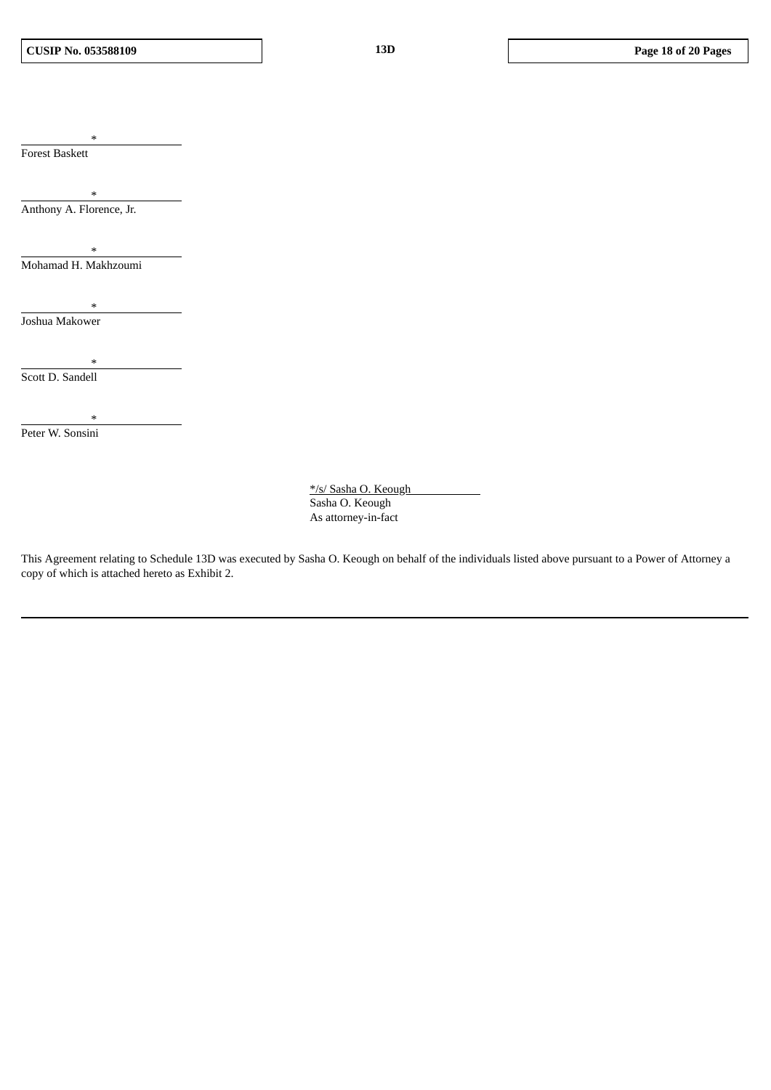\* Forest Baskett

\* Anthony A. Florence, Jr.

\* Mohamad H. Makhzoumi

\* Joshua Makower

\* Scott D. Sandell

Peter W. Sonsini

\*

\*/s/ Sasha O. Keough Sasha O. Keough As attorney-in-fact

This Agreement relating to Schedule 13D was executed by Sasha O. Keough on behalf of the individuals listed above pursuant to a Power of Attorney a copy of which is attached hereto as Exhibit 2.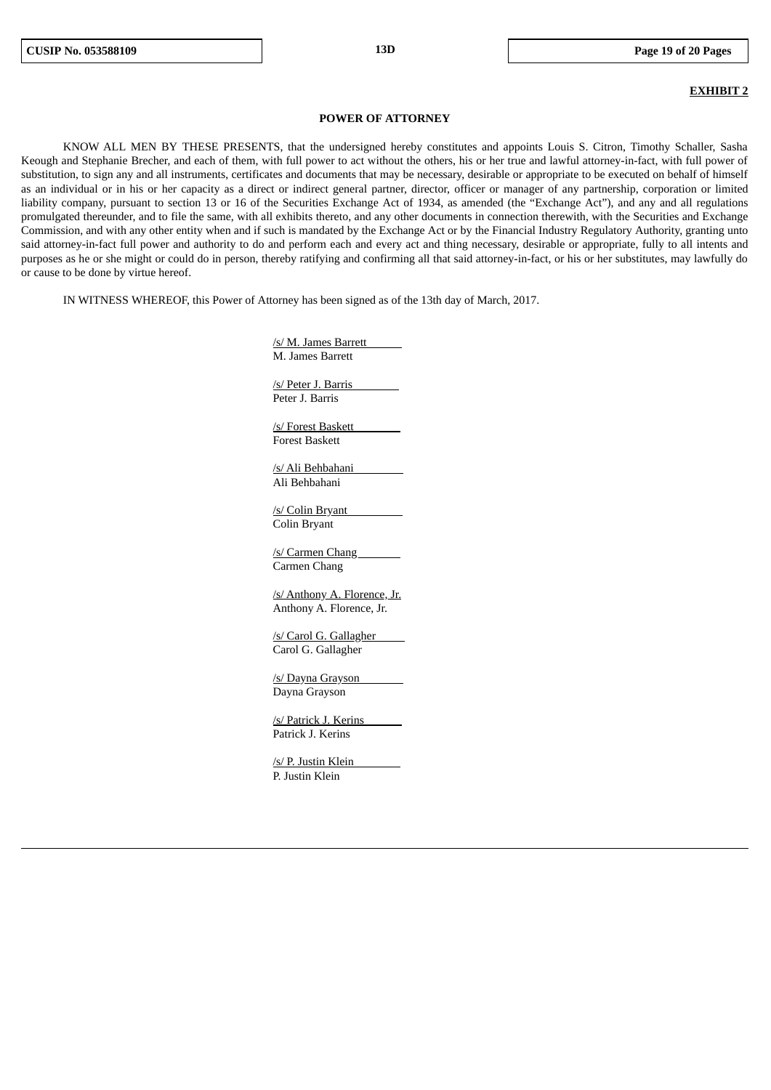#### **EXHIBIT 2**

#### **POWER OF ATTORNEY**

KNOW ALL MEN BY THESE PRESENTS, that the undersigned hereby constitutes and appoints Louis S. Citron, Timothy Schaller, Sasha Keough and Stephanie Brecher, and each of them, with full power to act without the others, his or her true and lawful attorney-in-fact, with full power of substitution, to sign any and all instruments, certificates and documents that may be necessary, desirable or appropriate to be executed on behalf of himself as an individual or in his or her capacity as a direct or indirect general partner, director, officer or manager of any partnership, corporation or limited liability company, pursuant to section 13 or 16 of the Securities Exchange Act of 1934, as amended (the "Exchange Act"), and any and all regulations promulgated thereunder, and to file the same, with all exhibits thereto, and any other documents in connection therewith, with the Securities and Exchange Commission, and with any other entity when and if such is mandated by the Exchange Act or by the Financial Industry Regulatory Authority, granting unto said attorney-in-fact full power and authority to do and perform each and every act and thing necessary, desirable or appropriate, fully to all intents and purposes as he or she might or could do in person, thereby ratifying and confirming all that said attorney-in-fact, or his or her substitutes, may lawfully do or cause to be done by virtue hereof.

IN WITNESS WHEREOF, this Power of Attorney has been signed as of the 13th day of March, 2017.

/s/ M. James Barrett M. James Barrett

/s/ Peter J. Barris Peter J. Barris

/s/ Forest Baskett Forest Baskett

/s/ Ali Behbahani Ali Behbahani

/s/ Colin Bryant Colin Bryant

/s/ Carmen Chang Carmen Chang

/s/ Anthony A. Florence, Jr. Anthony A. Florence, Jr.

/s/ Carol G. Gallagher Carol G. Gallagher

/s/ Dayna Grayson Dayna Grayson

/s/ Patrick J. Kerins Patrick J. Kerins

/s/ P. Justin Klein P. Justin Klein